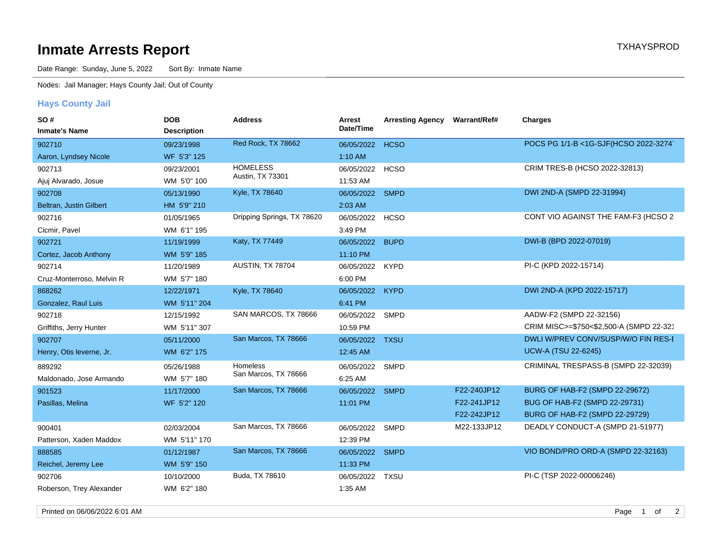## **Inmate Arrests Report TXHAYSPROD Inmate Arrests Report**

Date Range: Sunday, June 5, 2022 Sort By: Inmate Name

Nodes: Jail Manager; Hays County Jail; Out of County

## **Hays County Jail**

| SO#                       | <b>DOB</b>         | <b>Address</b>             | Arrest          | <b>Arresting Agency</b> | <b>Warrant/Ref#</b> | <b>Charges</b>                          |
|---------------------------|--------------------|----------------------------|-----------------|-------------------------|---------------------|-----------------------------------------|
| <b>Inmate's Name</b>      | <b>Description</b> |                            | Date/Time       |                         |                     |                                         |
| 902710                    | 09/23/1998         | Red Rock, TX 78662         | 06/05/2022      | <b>HCSO</b>             |                     | POCS PG 1/1-B <1G-SJF(HCSO 2022-3274)   |
| Aaron, Lyndsey Nicole     | WF 5'3" 125        |                            | 1:10 AM         |                         |                     |                                         |
| 902713                    | 09/23/2001         | <b>HOMELESS</b>            | 06/05/2022      | <b>HCSO</b>             |                     | CRIM TRES-B (HCSO 2022-32813)           |
| Ajuj Alvarado, Josue      | WM 5'0" 100        | Austin, TX 73301           | 11:53 AM        |                         |                     |                                         |
| 902708                    | 05/13/1990         | Kyle, TX 78640             | 06/05/2022 SMPD |                         |                     | DWI 2ND-A (SMPD 22-31994)               |
| Beltran, Justin Gilbert   | HM 5'9" 210        |                            | 2:03 AM         |                         |                     |                                         |
| 902716                    | 01/05/1965         | Dripping Springs, TX 78620 | 06/05/2022 HCSO |                         |                     | CONT VIO AGAINST THE FAM-F3 (HCSO 2     |
| Cicmir, Pavel             | WM 6'1" 195        |                            | 3:49 PM         |                         |                     |                                         |
| 902721                    | 11/19/1999         | Katy, TX 77449             | 06/05/2022      | <b>BUPD</b>             |                     | DWI-B (BPD 2022-07019)                  |
| Cortez, Jacob Anthony     | WM 5'9" 185        |                            | 11:10 PM        |                         |                     |                                         |
| 902714                    | 11/20/1989         | AUSTIN, TX 78704           | 06/05/2022      | <b>KYPD</b>             |                     | PI-C (KPD 2022-15714)                   |
| Cruz-Monterroso, Melvin R | WM 5'7" 180        |                            | 6:00 PM         |                         |                     |                                         |
| 868262                    | 12/22/1971         | <b>Kyle, TX 78640</b>      | 06/05/2022      | <b>KYPD</b>             |                     | DWI 2ND-A (KPD 2022-15717)              |
| Gonzalez, Raul Luis       | WM 5'11" 204       |                            | 6:41 PM         |                         |                     |                                         |
| 902718                    | 12/15/1992         | SAN MARCOS, TX 78666       | 06/05/2022      | <b>SMPD</b>             |                     | AADW-F2 (SMPD 22-32156)                 |
| Griffiths, Jerry Hunter   | WM 5'11" 307       |                            | 10:59 PM        |                         |                     | CRIM MISC>=\$750<\$2,500-A (SMPD 22-321 |
| 902707                    | 05/11/2000         | San Marcos, TX 78666       | 06/05/2022      | <b>TXSU</b>             |                     | DWLI W/PREV CONV/SUSP/W/O FIN RES-I     |
| Henry, Otis leverne, Jr.  | WM 6'2" 175        |                            | 12:45 AM        |                         |                     | <b>UCW-A (TSU 22-6245)</b>              |
| 889292                    | 05/26/1988         | Homeless                   | 06/05/2022      | <b>SMPD</b>             |                     | CRIMINAL TRESPASS-B (SMPD 22-32039)     |
| Maldonado, Jose Armando   | WM 5'7" 180        | San Marcos, TX 78666       | 6:25 AM         |                         |                     |                                         |
| 901523                    | 11/17/2000         | San Marcos, TX 78666       | 06/05/2022      | <b>SMPD</b>             | F22-240JP12         | BURG OF HAB-F2 (SMPD 22-29672)          |
| Pasillas, Melina          | WF 5'2" 120        |                            | 11:01 PM        |                         | F22-241JP12         | BUG OF HAB-F2 (SMPD 22-29731)           |
|                           |                    |                            |                 |                         | F22-242JP12         | BURG OF HAB-F2 (SMPD 22-29729)          |
| 900401                    | 02/03/2004         | San Marcos, TX 78666       | 06/05/2022      | <b>SMPD</b>             | M22-133JP12         | DEADLY CONDUCT-A (SMPD 21-51977)        |
| Patterson, Xaden Maddox   | WM 5'11" 170       |                            | 12:39 PM        |                         |                     |                                         |
| 888585                    | 01/12/1987         | San Marcos, TX 78666       | 06/05/2022      | <b>SMPD</b>             |                     | VIO BOND/PRO ORD-A (SMPD 22-32163)      |
| Reichel, Jeremy Lee       | WM 5'9" 150        |                            | 11:33 PM        |                         |                     |                                         |
| 902706                    | 10/10/2000         | Buda, TX 78610             | 06/05/2022      | <b>TXSU</b>             |                     | PI-C (TSP 2022-00006246)                |
| Roberson, Trey Alexander  | WM 6'2" 180        |                            | 1:35 AM         |                         |                     |                                         |

Printed on 06/06/2022 6:01 AM Page 1 of 2